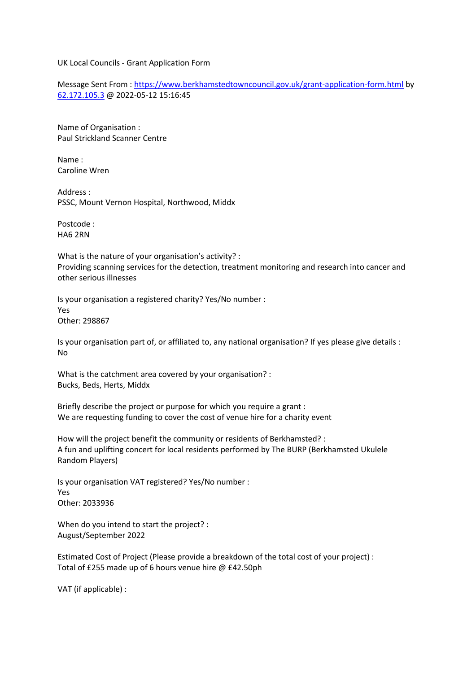UK Local Councils - Grant Application Form

Message Sent From : [https://www.berkhamstedtowncouncil.gov.uk/grant-application-form.html](https://protect-eu.mimecast.com/s/L0knCovlpfPlPsVjiy8?domain=berkhamstedtowncouncil.gov.uk) by [62.172.105.3](https://protect-eu.mimecast.com/s/6iUsCpRmrfOQOUGs3Mv?domain=62.172.105.3) @ 2022-05-12 15:16:45

Name of Organisation : Paul Strickland Scanner Centre

Name : Caroline Wren

Address : PSSC, Mount Vernon Hospital, Northwood, Middx

Postcode : HA6 2RN

What is the nature of your organisation's activity? : Providing scanning services for the detection, treatment monitoring and research into cancer and other serious illnesses

Is your organisation a registered charity? Yes/No number : Yes Other: 298867

Is your organisation part of, or affiliated to, any national organisation? If yes please give details : No

What is the catchment area covered by your organisation? : Bucks, Beds, Herts, Middx

Briefly describe the project or purpose for which you require a grant : We are requesting funding to cover the cost of venue hire for a charity event

How will the project benefit the community or residents of Berkhamsted? : A fun and uplifting concert for local residents performed by The BURP (Berkhamsted Ukulele Random Players)

Is your organisation VAT registered? Yes/No number : Yes Other: 2033936

When do you intend to start the project? : August/September 2022

Estimated Cost of Project (Please provide a breakdown of the total cost of your project) : Total of £255 made up of 6 hours venue hire @ £42.50ph

VAT (if applicable) :